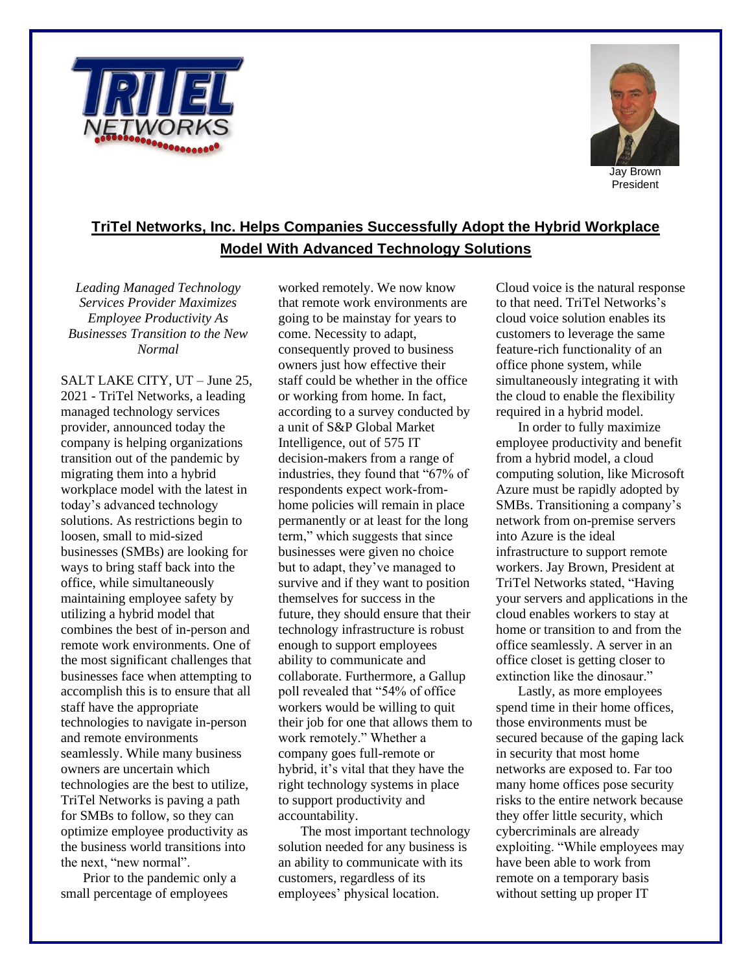



President

## **TriTel Networks, Inc. Helps Companies Successfully Adopt the Hybrid Workplace Model With Advanced Technology Solutions**

*Leading Managed Technology Services Provider Maximizes Employee Productivity As Businesses Transition to the New Normal*

SALT LAKE CITY, UT – June 25, 2021 - TriTel Networks, a leading managed technology services provider, announced today the company is helping organizations transition out of the pandemic by migrating them into a hybrid workplace model with the latest in today's advanced technology solutions. As restrictions begin to loosen, small to mid-sized businesses (SMBs) are looking for ways to bring staff back into the office, while simultaneously maintaining employee safety by utilizing a hybrid model that combines the best of in-person and remote work environments. One of the most significant challenges that businesses face when attempting to accomplish this is to ensure that all staff have the appropriate technologies to navigate in-person and remote environments seamlessly. While many business owners are uncertain which technologies are the best to utilize, TriTel Networks is paving a path for SMBs to follow, so they can optimize employee productivity as the business world transitions into the next, "new normal".

Prior to the pandemic only a small percentage of employees

worked remotely. We now know that remote work environments are going to be mainstay for years to come. Necessity to adapt, consequently proved to business owners just how effective their staff could be whether in the office or working from home. In fact, according to a survey conducted by a unit of S&P Global Market Intelligence, out of 575 IT decision-makers from a range of industries, they found that "67% of respondents expect work-fromhome policies will remain in place permanently or at least for the long term," which suggests that since businesses were given no choice but to adapt, they've managed to survive and if they want to position themselves for success in the future, they should ensure that their technology infrastructure is robust enough to support employees ability to communicate and collaborate. Furthermore, a Gallup poll revealed that "54% of office workers would be willing to quit their job for one that allows them to work remotely." Whether a company goes full-remote or hybrid, it's vital that they have the right technology systems in place to support productivity and accountability.

The most important technology solution needed for any business is an ability to communicate with its customers, regardless of its employees' physical location.

Cloud voice is the natural response to that need. TriTel Networks's cloud voice solution enables its customers to leverage the same feature-rich functionality of an office phone system, while simultaneously integrating it with the cloud to enable the flexibility required in a hybrid model.

In order to fully maximize employee productivity and benefit from a hybrid model, a cloud computing solution, like Microsoft Azure must be rapidly adopted by SMBs. Transitioning a company's network from on-premise servers into Azure is the ideal infrastructure to support remote workers. Jay Brown, President at TriTel Networks stated, "Having your servers and applications in the cloud enables workers to stay at home or transition to and from the office seamlessly. A server in an office closet is getting closer to extinction like the dinosaur."

Lastly, as more employees spend time in their home offices, those environments must be secured because of the gaping lack in security that most home networks are exposed to. Far too many home offices pose security risks to the entire network because they offer little security, which cybercriminals are already exploiting. "While employees may have been able to work from remote on a temporary basis without setting up proper IT